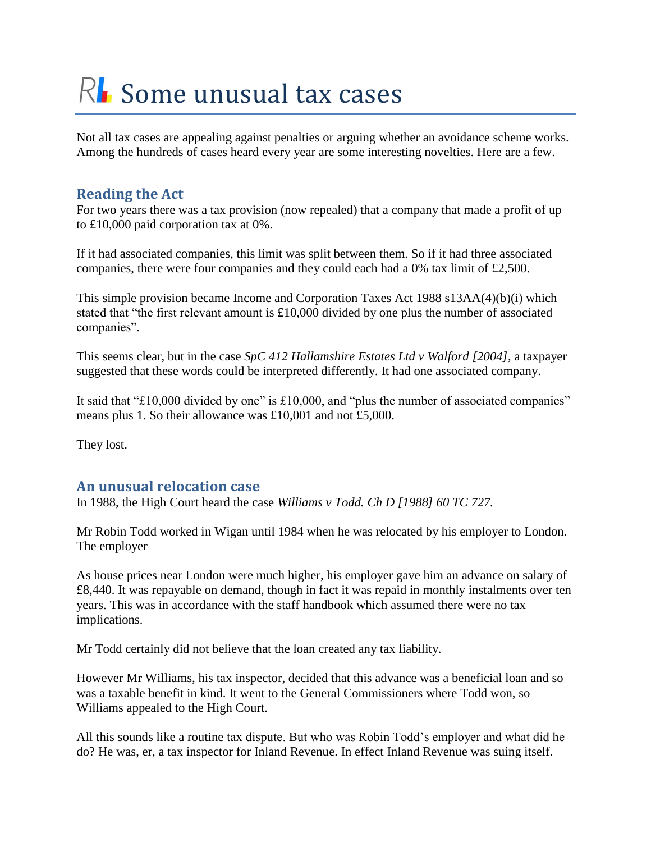# $R<sub>l</sub>$  Some unusual tax cases

Not all tax cases are appealing against penalties or arguing whether an avoidance scheme works. Among the hundreds of cases heard every year are some interesting novelties. Here are a few.

## **Reading the Act**

For two years there was a tax provision (now repealed) that a company that made a profit of up to £10,000 paid corporation tax at 0%.

If it had associated companies, this limit was split between them. So if it had three associated companies, there were four companies and they could each had a 0% tax limit of £2,500.

This simple provision became Income and Corporation Taxes Act 1988 s13AA(4)(b)(i) which stated that "the first relevant amount is £10,000 divided by one plus the number of associated companies".

This seems clear, but in the case *SpC 412 Hallamshire Estates Ltd v Walford [2004],* a taxpayer suggested that these words could be interpreted differently. It had one associated company.

It said that "£10,000 divided by one" is £10,000, and "plus the number of associated companies" means plus 1. So their allowance was £10,001 and not £5,000.

They lost.

# **An unusual relocation case**

In 1988, the High Court heard the case *Williams v Todd. Ch D [1988] 60 TC 727.*

Mr Robin Todd worked in Wigan until 1984 when he was relocated by his employer to London. The employer

As house prices near London were much higher, his employer gave him an advance on salary of £8,440. It was repayable on demand, though in fact it was repaid in monthly instalments over ten years. This was in accordance with the staff handbook which assumed there were no tax implications.

Mr Todd certainly did not believe that the loan created any tax liability.

However Mr Williams, his tax inspector, decided that this advance was a beneficial loan and so was a taxable benefit in kind. It went to the General Commissioners where Todd won, so Williams appealed to the High Court.

All this sounds like a routine tax dispute. But who was Robin Todd's employer and what did he do? He was, er, a tax inspector for Inland Revenue. In effect Inland Revenue was suing itself.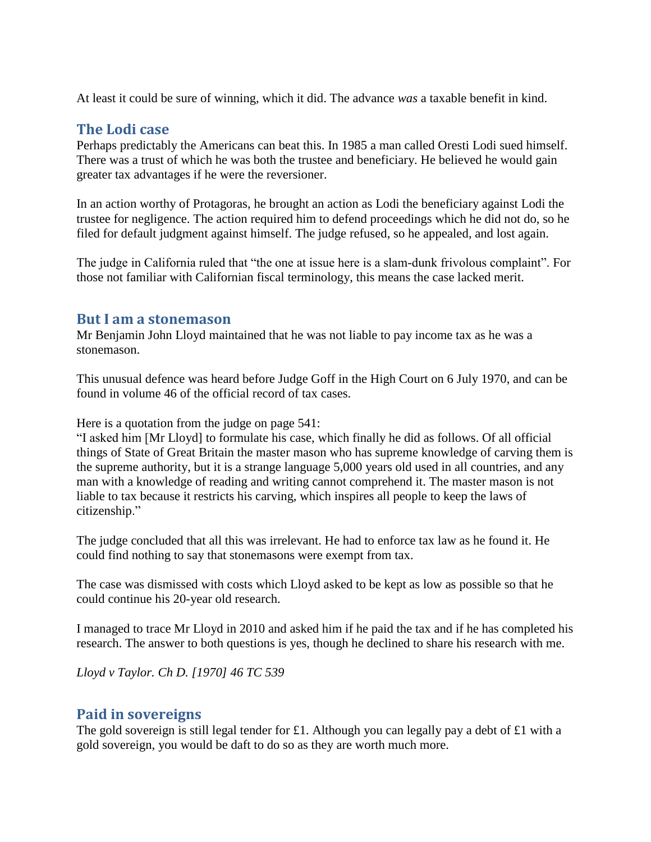At least it could be sure of winning, which it did. The advance *was* a taxable benefit in kind.

## **The Lodi case**

Perhaps predictably the Americans can beat this. In 1985 a man called Oresti Lodi sued himself. There was a trust of which he was both the trustee and beneficiary. He believed he would gain greater tax advantages if he were the reversioner.

In an action worthy of Protagoras, he brought an action as Lodi the beneficiary against Lodi the trustee for negligence. The action required him to defend proceedings which he did not do, so he filed for default judgment against himself. The judge refused, so he appealed, and lost again.

The judge in California ruled that "the one at issue here is a slam-dunk frivolous complaint". For those not familiar with Californian fiscal terminology, this means the case lacked merit.

#### **But I am a stonemason**

Mr Benjamin John Lloyd maintained that he was not liable to pay income tax as he was a stonemason.

This unusual defence was heard before Judge Goff in the High Court on 6 July 1970, and can be found in volume 46 of the official record of tax cases.

Here is a quotation from the judge on page 541:

"I asked him [Mr Lloyd] to formulate his case, which finally he did as follows. Of all official things of State of Great Britain the master mason who has supreme knowledge of carving them is the supreme authority, but it is a strange language 5,000 years old used in all countries, and any man with a knowledge of reading and writing cannot comprehend it. The master mason is not liable to tax because it restricts his carving, which inspires all people to keep the laws of citizenship."

The judge concluded that all this was irrelevant. He had to enforce tax law as he found it. He could find nothing to say that stonemasons were exempt from tax.

The case was dismissed with costs which Lloyd asked to be kept as low as possible so that he could continue his 20-year old research.

I managed to trace Mr Lloyd in 2010 and asked him if he paid the tax and if he has completed his research. The answer to both questions is yes, though he declined to share his research with me.

*Lloyd v Taylor. Ch D. [1970] 46 TC 539*

## **Paid in sovereigns**

The gold sovereign is still legal tender for £1. Although you can legally pay a debt of £1 with a gold sovereign, you would be daft to do so as they are worth much more.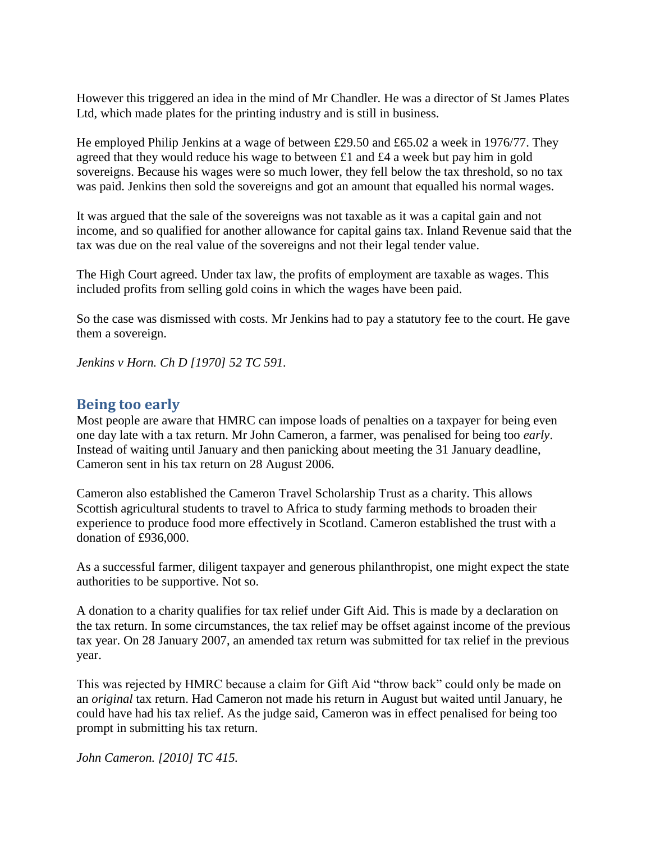However this triggered an idea in the mind of Mr Chandler. He was a director of St James Plates Ltd, which made plates for the printing industry and is still in business.

He employed Philip Jenkins at a wage of between £29.50 and £65.02 a week in 1976/77. They agreed that they would reduce his wage to between £1 and £4 a week but pay him in gold sovereigns. Because his wages were so much lower, they fell below the tax threshold, so no tax was paid. Jenkins then sold the sovereigns and got an amount that equalled his normal wages.

It was argued that the sale of the sovereigns was not taxable as it was a capital gain and not income, and so qualified for another allowance for capital gains tax. Inland Revenue said that the tax was due on the real value of the sovereigns and not their legal tender value.

The High Court agreed. Under tax law, the profits of employment are taxable as wages. This included profits from selling gold coins in which the wages have been paid.

So the case was dismissed with costs. Mr Jenkins had to pay a statutory fee to the court. He gave them a sovereign.

*Jenkins v Horn. Ch D [1970] 52 TC 591.*

## **Being too early**

Most people are aware that HMRC can impose loads of penalties on a taxpayer for being even one day late with a tax return. Mr John Cameron, a farmer, was penalised for being too *early*. Instead of waiting until January and then panicking about meeting the 31 January deadline, Cameron sent in his tax return on 28 August 2006.

Cameron also established the Cameron Travel Scholarship Trust as a charity. This allows Scottish agricultural students to travel to Africa to study farming methods to broaden their experience to produce food more effectively in Scotland. Cameron established the trust with a donation of £936,000.

As a successful farmer, diligent taxpayer and generous philanthropist, one might expect the state authorities to be supportive. Not so.

A donation to a charity qualifies for tax relief under Gift Aid. This is made by a declaration on the tax return. In some circumstances, the tax relief may be offset against income of the previous tax year. On 28 January 2007, an amended tax return was submitted for tax relief in the previous year.

This was rejected by HMRC because a claim for Gift Aid "throw back" could only be made on an *original* tax return. Had Cameron not made his return in August but waited until January, he could have had his tax relief. As the judge said, Cameron was in effect penalised for being too prompt in submitting his tax return.

*John Cameron. [2010] TC 415.*